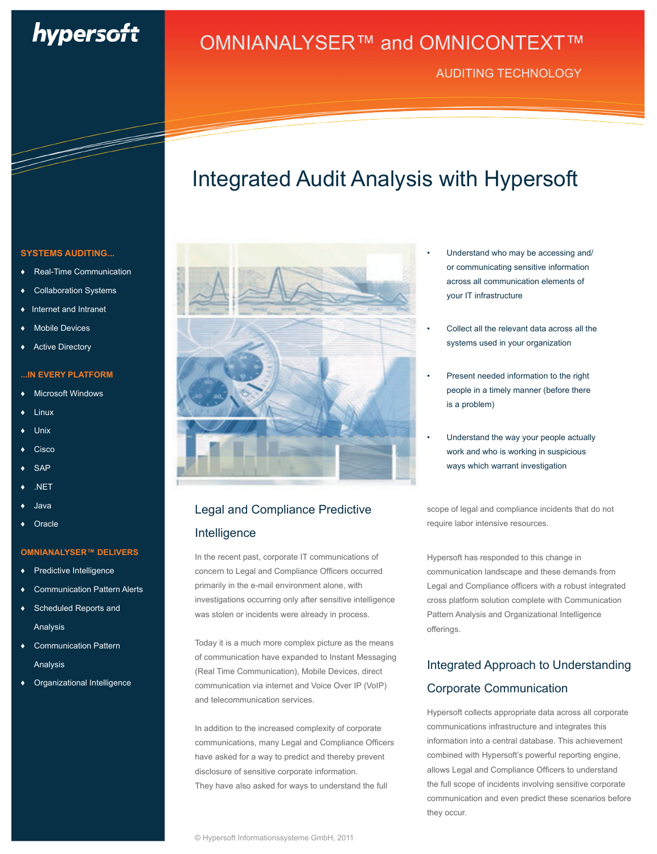# hypersoft

AUDITING TECHNOLOGY

## Integrated Audit Analysis with Hypersoft



## Legal and Compliance Predictive Intelligence

In the recent past, corporate IT communications of concern to Legal and Compliance Officers occurred primarily in the e-mail environment alone, with investigations occurring only after sensitive intelligence was stolen or incidents were already in process.

Today it is a much more complex picture as the means of communication have expanded to Instant Messaging (Real Time Communication), Mobile Devices, direct communication via internet and Voice Over IP (VoIP) and telecommunication services.

In addition to the increased complexity of corporate communications, many Legal and Compliance Officers have asked for a way to predict and thereby prevent disclosure of sensitive corporate information. They have also asked for ways to understand the full

- Understand who may be accessing and/ or communicating sensitive information across all communication elements of your IT infrastructure
- Collect all the relevant data across all the systems used in your organization
- Present needed information to the right people in a timely manner (before there is a problem)
- Understand the way your people actually work and who is working in suspicious ways which warrant investigation

scope of legal and compliance incidents that do not require labor intensive resources.

Hypersoft has responded to this change in communication landscape and these demands from Legal and Compliance officers with a robust integrated cross platform solution complete with Communication Pattern Analysis and Organizational Intelligence offerings.

## Integrated Approach to Understanding Corporate Communication

Hypersoft collects appropriate data across all corporate communications infrastructure and integrates this information into a central database. This achievement combined with Hypersoft's powerful reporting engine, allows Legal and Compliance Officers to understand the full scope of incidents involving sensitive corporate communication and even predict these scenarios before they occur.

### **SYSTEMS AUDITING...**

- ♦Real-Time Communication
- **Collaboration Systems**
- Internet and Intranet
- Mobile Devices
- **Active Directory**

### **...IN EVERY PLATFORM**

- Microsoft Windows
- ♦ Linux
- Unix
- Cisco
- **SAP**
- NET
- ♦ Java
- Oracle

### **OMNIANALYSER™ DELIVERS**

- Predictive Intelligence
- Communication Pattern Alerts
- Scheduled Reports and Analysis
- Communication Pattern Analysis
- Organizational Intelligence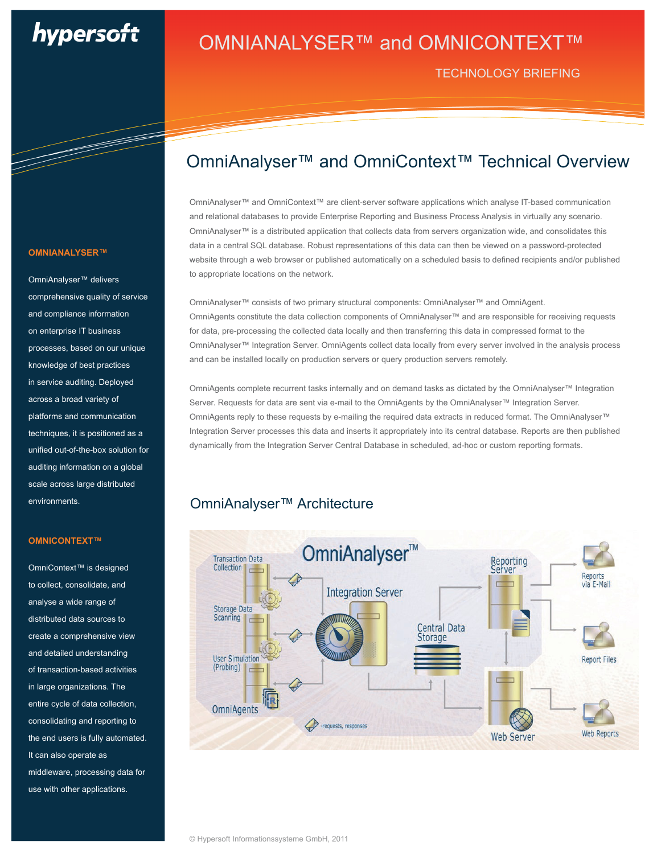# hypersoft

TECHNOLOGY BRIEFING

#### **OMNIANALYSER™**

OmniAnalyser™ delivers comprehensive quality of service and compliance information on enterprise IT business processes, based on our unique knowledge of best practices in service auditing. Deployed across a broad variety of platforms and communication techniques, it is positioned as a unified out-of-the-box solution for auditing information on a global scale across large distributed environments.

### **OMNICONTEXT™**

OmniContext™ is designed to collect, consolidate, and analyse a wide range of distributed data sources to create a comprehensive view and detailed understanding of transaction-based activities in large organizations. The entire cycle of data collection, consolidating and reporting to the end users is fully automated. It can also operate as middleware, processing data for use with other applications.

## OmniAnalyser™ and OmniContext™ Technical Overview

OmniAnalyser™ and OmniContext™ are client-server software applications which analyse IT-based communication and relational databases to provide Enterprise Reporting and Business Process Analysis in virtually any scenario. OmniAnalyser™ is a distributed application that collects data from servers organization wide, and consolidates this data in a central SQL database. Robust representations of this data can then be viewed on a password-protected website through a web browser or published automatically on a scheduled basis to defined recipients and/or published to appropriate locations on the network.

OmniAnalyser™ consists of two primary structural components: OmniAnalyser™ and OmniAgent. OmniAgents constitute the data collection components of OmniAnalyser™ and are responsible for receiving requests for data, pre-processing the collected data locally and then transferring this data in compressed format to the OmniAnalyser™ Integration Server. OmniAgents collect data locally from every server involved in the analysis process and can be installed locally on production servers or query production servers remotely.

OmniAgents complete recurrent tasks internally and on demand tasks as dictated by the OmniAnalyser™ Integration Server. Requests for data are sent via e-mail to the OmniAgents by the OmniAnalyser™ Integration Server. OmniAgents reply to these requests by e-mailing the required data extracts in reduced format. The OmniAnalyser™ Integration Server processes this data and inserts it appropriately into its central database. Reports are then published dynamically from the Integration Server Central Database in scheduled, ad-hoc or custom reporting formats.

### OmniAnalyser™ Architecture